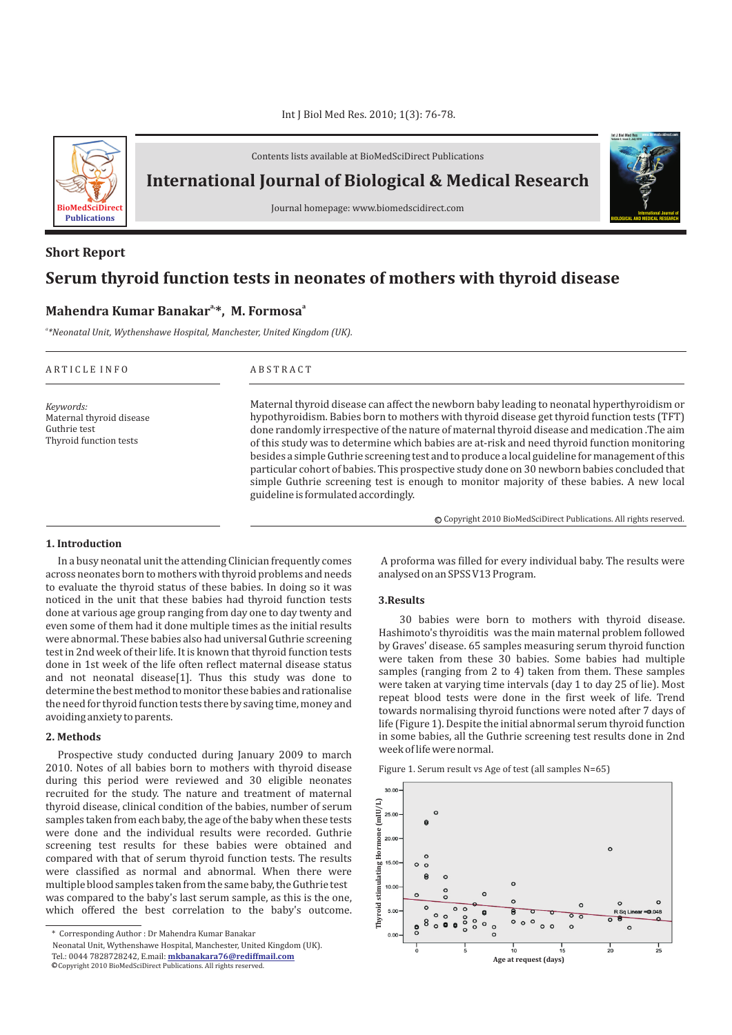

Contents lists available at BioMedSciDirect Publications

**International Journal of Biological & Medical Research** 

Journal homepage: www.biomedscidirect.com

# **International Journal of BIOLOGICAL AND MEDICAL RESEARCH Int J Biol Med Res www.biomedscidirect.com Volume 3, Issue 3, July 2010**

## **Serum thyroid function tests in neonates of mothers with thyroid disease Short Report**

## **a, <sup>a</sup> Mahendra Kumar Banakar \*, M. Formosa**

*a \*Neonatal Unit, Wythenshawe Hospital, Manchester, United Kingdom (UK).*

| ARTICLE INFO                                                                    | <b>ABSTRACT</b>                                                                                                                                                                                                                                                                                                                                                                                                                                                                                                                                                                                                                                                                                                                    |
|---------------------------------------------------------------------------------|------------------------------------------------------------------------------------------------------------------------------------------------------------------------------------------------------------------------------------------------------------------------------------------------------------------------------------------------------------------------------------------------------------------------------------------------------------------------------------------------------------------------------------------------------------------------------------------------------------------------------------------------------------------------------------------------------------------------------------|
| Keywords:<br>Maternal thyroid disease<br>Guthrie test<br>Thyroid function tests | Maternal thyroid disease can affect the newborn baby leading to neonatal hyperthyroidism or<br>hypothyroidism. Babies born to mothers with thyroid disease get thyroid function tests (TFT)<br>done randomly irrespective of the nature of maternal thyroid disease and medication. The aim<br>of this study was to determine which babies are at-risk and need thyroid function monitoring<br>besides a simple Guthrie screening test and to produce a local guideline for management of this<br>particular cohort of babies. This prospective study done on 30 newborn babies concluded that<br>simple Guthrie screening test is enough to monitor majority of these babies. A new local<br>guideline is formulated accordingly. |
|                                                                                 | © Copyright 2010 BioMedSciDirect Publications. All rights reserved.                                                                                                                                                                                                                                                                                                                                                                                                                                                                                                                                                                                                                                                                |

#### **1. Introduction**

In a busy neonatal unit the attending Clinician frequently comes across neonates born to mothers with thyroid problems and needs to evaluate the thyroid status of these babies. In doing so it was noticed in the unit that these babies had thyroid function tests done at various age group ranging from day one to day twenty and even some of them had it done multiple times as the initial results were abnormal. These babies also had universal Guthrie screening test in 2nd week of their life. It is known that thyroid function tests done in 1st week of the life often reflect maternal disease status and not neonatal disease[1]. Thus this study was done to determine the best method to monitor these babies and rationalise the need for thyroid function tests there by saving time, money and avoiding anxiety to parents.

#### **2. Methods**

Prospective study conducted during January 2009 to march 2010. Notes of all babies born to mothers with thyroid disease during this period were reviewed and 30 eligible neonates recruited for the study. The nature and treatment of maternal thyroid disease, clinical condition of the babies, number of serum samples taken from each baby, the age of the baby when these tests were done and the individual results were recorded. Guthrie screening test results for these babies were obtained and compared with that of serum thyroid function tests. The results were classified as normal and abnormal. When there were multiple blood samples taken from the same baby, the Guthrie test was compared to the baby's last serum sample, as this is the one, which offered the best correlation to the baby's outcome.

 A proforma was filled for every individual baby. The results were analysed on an SPSS V13 Program.

## **3.Results**

30 babies were born to mothers with thyroid disease. Hashimoto's thyroiditis was the main maternal problem followed by Graves' disease. 65 samples measuring serum thyroid function were taken from these 30 babies. Some babies had multiple samples (ranging from 2 to 4) taken from them. These samples were taken at varying time intervals (day 1 to day 25 of lie). Most repeat blood tests were done in the first week of life. Trend towards normalising thyroid functions were noted after 7 days of life (Figure 1). Despite the initial abnormal serum thyroid function in some babies, all the Guthrie screening test results done in 2nd week of life were normal.





<sup>\*</sup> Corresponding Author : Dr Mahendra Kumar Banakar

Neonatal Unit, Wythenshawe Hospital, Manchester, United Kingdom (UK). Tel.: 0044 7828728242, E.mail: **mkbanakara76@rediffmail.com**  $©$  Copyright 2010 BioMedSciDirect Publications. All rights reserved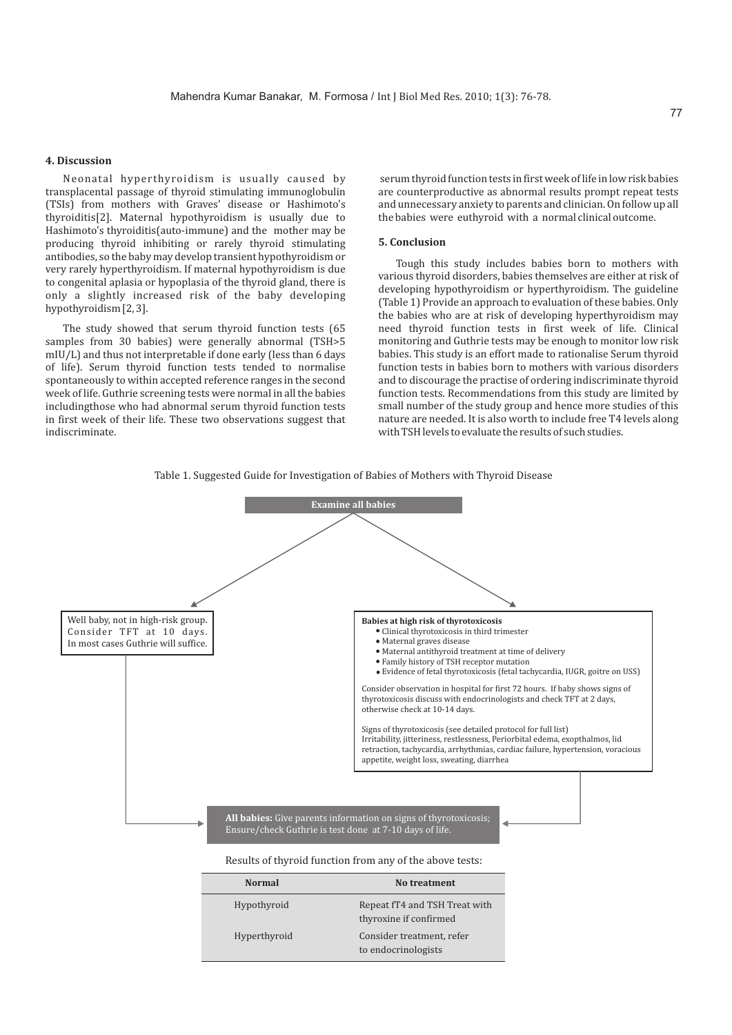## **4. Discussion**

Neonatal hyperthyroidism is usually caused by transplacental passage of thyroid stimulating immunoglobulin (TSIs) from mothers with Graves' disease or Hashimoto's thyroiditis[2]. Maternal hypothyroidism is usually due to Hashimoto's thyroiditis(auto-immune) and the mother may be producing thyroid inhibiting or rarely thyroid stimulating antibodies, so the baby may develop transient hypothyroidism or very rarely hyperthyroidism. If maternal hypothyroidism is due to congenital aplasia or hypoplasia of the thyroid gland, there is only a slightly increased risk of the baby developing hypothyroidism [2, 3].

The study showed that serum thyroid function tests (65 samples from 30 babies) were generally abnormal (TSH>5 mIU/L) and thus not interpretable if done early (less than 6 days of life). Serum thyroid function tests tended to normalise spontaneously to within accepted reference ranges in the second week of life. Guthrie screening tests were normal in all the babies includingthose who had abnormal serum thyroid function tests in first week of their life. These two observations suggest that indiscriminate.

serum thyroid function tests in first week of life in low risk babies are counterproductive as abnormal results prompt repeat tests and unnecessary anxiety to parents and clinician. On follow up all the babies were euthyroid with a normal clinical outcome.

## **5. Conclusion**

Tough this study includes babies born to mothers with various thyroid disorders, babies themselves are either at risk of developing hypothyroidism or hyperthyroidism. The guideline (Table 1) Provide an approach to evaluation of these babies. Only the babies who are at risk of developing hyperthyroidism may need thyroid function tests in first week of life. Clinical monitoring and Guthrie tests may be enough to monitor low risk babies. This study is an effort made to rationalise Serum thyroid function tests in babies born to mothers with various disorders and to discourage the practise of ordering indiscriminate thyroid function tests. Recommendations from this study are limited by small number of the study group and hence more studies of this nature are needed. It is also worth to include free T4 levels along with TSH levels to evaluate the results of such studies.



Table 1. Suggested Guide for Investigation of Babies of Mothers with Thyroid Disease